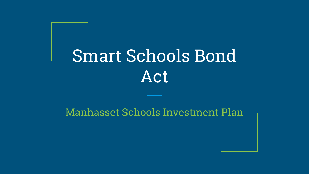# Smart Schools Bond Act

#### Manhasset Schools Investment Plan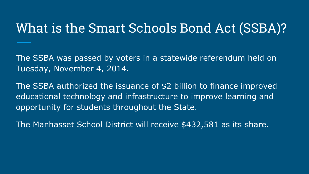#### What is the Smart Schools Bond Act (SSBA)?

The SSBA was passed by voters in a statewide referendum held on Tuesday, November 4, 2014.

The SSBA authorized the issuance of \$2 billion to finance improved educational technology and infrastructure to improve learning and opportunity for students throughout the State.

The Manhasset School District will receive \$432,581 as its [share](http://apps.cio.ny.gov/apps/smart_schools/index.html).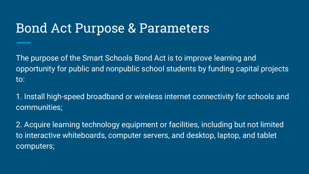#### Bond Act Purpose & Parameters

The purpose of the Smart Schools Bond Act is to improve learning and opportunity for public and nonpublic school students by funding capital projects to:

1. Install high-speed broadband or wireless internet connectivity for schools and communities;

2. Acquire learning technology equipment or facilities, including but not limited to interactive whiteboards, computer servers, and desktop, laptop, and tablet computers;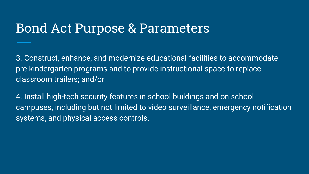#### Bond Act Purpose & Parameters

3. Construct, enhance, and modernize educational facilities to accommodate pre-kindergarten programs and to provide instructional space to replace classroom trailers; and/or

4. Install high-tech security features in school buildings and on school campuses, including but not limited to video surveillance, emergency notification systems, and physical access controls.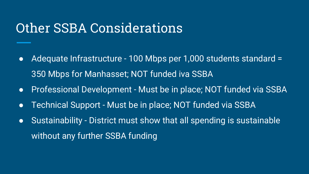#### Other SSBA Considerations

- Adequate Infrastructure 100 Mbps per 1,000 students standard = 350 Mbps for Manhasset; NOT funded iva SSBA
- Professional Development Must be in place; NOT funded via SSBA
- Technical Support Must be in place; NOT funded via SSBA
- Sustainability District must show that all spending is sustainable without any further SSBA funding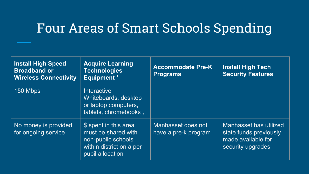#### Four Areas of Smart Schools Spending

| <b>Install High Speed</b><br><b>Broadband or</b><br><b>Wireless Connectivity</b> | <b>Acquire Learning</b><br><b>Technologies</b><br><b>Equipment</b> *                                               | <b>Accommodate Pre-K</b><br><b>Programs</b> | <b>Install High Tech</b><br><b>Security Features</b>                                        |
|----------------------------------------------------------------------------------|--------------------------------------------------------------------------------------------------------------------|---------------------------------------------|---------------------------------------------------------------------------------------------|
| 150 Mbps                                                                         | Interactive<br>Whiteboards, desktop<br>or laptop computers,<br>tablets, chromebooks,                               |                                             |                                                                                             |
| No money is provided<br>for ongoing service                                      | \$ spent in this area<br>must be shared with<br>non-public schools<br>within district on a per<br>pupil allocation | Manhasset does not<br>have a pre-k program  | Manhasset has utilized<br>state funds previously<br>made available for<br>security upgrades |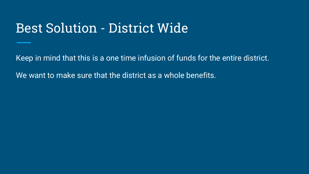#### Best Solution - District Wide

Keep in mind that this is a one time infusion of funds for the entire district.

We want to make sure that the district as a whole benefits.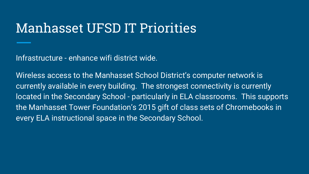#### Manhasset UFSD IT Priorities

Infrastructure - enhance wifi district wide.

Wireless access to the Manhasset School District's computer network is currently available in every building. The strongest connectivity is currently located in the Secondary School - particularly in ELA classrooms. This supports the Manhasset Tower Foundation's 2015 gift of class sets of Chromebooks in every ELA instructional space in the Secondary School.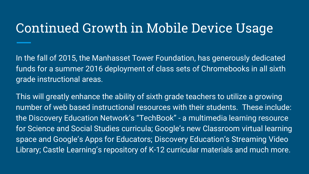#### Continued Growth in Mobile Device Usage

In the fall of 2015, the Manhasset Tower Foundation, has generously dedicated funds for a summer 2016 deployment of class sets of Chromebooks in all sixth grade instructional areas.

This will greatly enhance the ability of sixth grade teachers to utilize a growing number of web based instructional resources with their students. These include: the Discovery Education Network's "TechBook" - a multimedia learning resource for Science and Social Studies curricula; Google's new Classroom virtual learning space and Google's Apps for Educators; Discovery Education's Streaming Video Library; Castle Learning's repository of K-12 curricular materials and much more.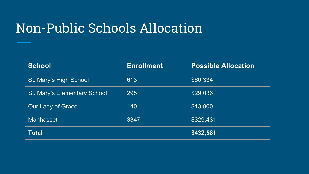#### Non-Public Schools Allocation

| <b>School</b>                | <b>Enrollment</b> | <b>Possible Allocation</b> |
|------------------------------|-------------------|----------------------------|
| St. Mary's High School       | 613               | \$60,334                   |
| St. Mary's Elementary School | 295               | \$29,036                   |
| Our Lady of Grace            | 140               | \$13,800                   |
| <b>Manhasset</b>             | 3347              | \$329,431                  |
| <b>Total</b>                 |                   | \$432,581                  |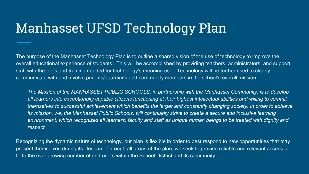#### Manhasset UFSD Technology Plan

The purpose of the Manhasset Technology Plan is to outline a shared vision of the use of technology to improve the overall educational experience of students. This will be accomplished by providing teachers, administrators, and support staff with the tools and training needed for technology's meaning use. Technology will be further used to clearly communicate with and involve parents/guardians and community members in the school's overall mission:

*The Mission of the MANHASSET PUBLIC SCHOOLS, in partnership with the Manhasset Community, is to develop all learners into exceptionally capable citizens functioning at their highest intellectual abilities and willing to commit themselves to successful achievement which benefits the larger and constantly changing society. In order to achieve its mission, we, the Manhasset Public Schools, will continually strive to create a secure and inclusive learning environment, which recognizes all learners, faculty and staff as unique human beings to be treated with dignity and respect.*

Recognizing the dynamic nature of technology, our plan is flexible in order to best respond to new opportunities that may present themselves during its lifespan. Through all areas of the plan, we seek to provide reliable and relevant access to IT to the ever growing number of end-users within the School District and its community.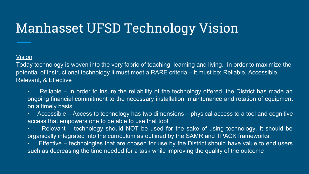### Manhasset UFSD Technology Vision

#### Vision

Today technology is woven into the very fabric of teaching, learning and living. In order to maximize the potential of instructional technology it must meet a RARE criteria – it must be: Reliable, Accessible, Relevant, & Effective

- Reliable In order to insure the reliability of the technology offered, the District has made an ongoing financial commitment to the necessary installation, maintenance and rotation of equipment on a timely basis
- Accessible Access to technology has two dimensions physical access to a tool and cognitive access that empowers one to be able to use that tool
- Relevant technology should NOT be used for the sake of using technology. It should be organically integrated into the curriculum as outlined by the SAMR and TPACK frameworks.
- **Effective technologies that are chosen for use by the District should have value to end users** such as decreasing the time needed for a task while improving the quality of the outcome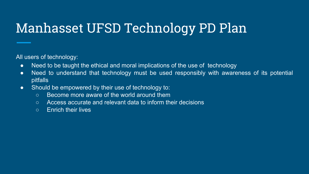## Manhasset UFSD Technology PD Plan

All users of technology:

- Need to be taught the ethical and moral implications of the use of technology
- Need to understand that technology must be used responsibly with awareness of its potential pitfalls
- Should be empowered by their use of technology to:
	- Become more aware of the world around them
	- Access accurate and relevant data to inform their decisions
	- Enrich their lives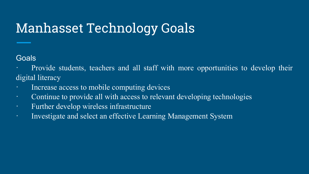### Manhasset Technology Goals

#### **Goals**

Provide students, teachers and all staff with more opportunities to develop their digital literacy

- Increase access to mobile computing devices
- · Continue to provide all with access to relevant developing technologies
- · Further develop wireless infrastructure
- · Investigate and select an effective Learning Management System